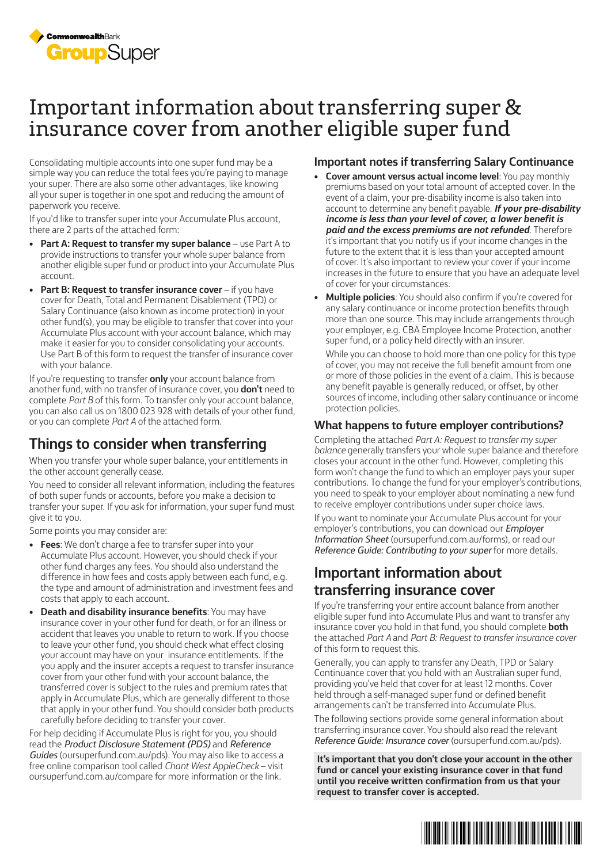

# Important information about transferring super & insurance cover from another eligible super fund

Consolidating multiple accounts into one super fund may be a simple way you can reduce the total fees you're paying to manage your super. There are also some other advantages, like knowing all your super is together in one spot and reducing the amount of paperwork you receive.

If you'd like to transfer super into your Accumulate Plus account, there are 2 parts of the attached form:

- **Part A: Request to transfer my super balance** use Part A to provide instructions to transfer your whole super balance from another eligible super fund or product into your Accumulate Plus account.
- **Part B: Request to transfer insurance cover** if you have cover for Death, Total and Permanent Disablement (TPD) or Salary Continuance (also known as income protection) in your other fund(s), you may be eligible to transfer that cover into your Accumulate Plus account with your account balance, which may make it easier for you to consider consolidating your accounts. Use Part B of this form to request the transfer of insurance cover with your balance.

If you're requesting to transfer **only** your account balance from another fund, with no transfer of insurance cover, you **don't** need to complete *Part B* of this form. To transfer only your account balance, you can also call us on 1800 023 928 with details of your other fund, or you can complete *Part A* of the attached form.

## **Things to consider when transferring**

When you transfer your whole super balance, your entitlements in the other account generally cease.

You need to consider all relevant information, including the features of both super funds or accounts, before you make a decision to transfer your super. If you ask for information, your super fund must give it to you.

Some points you may consider are:

- **Fees**: We don't charge a fee to transfer super into your Accumulate Plus account. However, you should check if your other fund charges any fees. You should also understand the difference in how fees and costs apply between each fund, e.g. the type and amount of administration and investment fees and costs that apply to each account.
- **Death and disability insurance benefits**: You may have insurance cover in your other fund for death, or for an illness or accident that leaves you unable to return to work. If you choose to leave your other fund, you should check what effect closing your account may have on your insurance entitlements. If the you apply and the insurer accepts a request to transfer insurance cover from your other fund with your account balance, the transferred cover is subject to the rules and premium rates that apply in Accumulate Plus, which are generally different to those that apply in your other fund. You should consider both products carefully before deciding to transfer your cover.

For help deciding if Accumulate Plus is right for you, you should read the *Product Disclosure Statement (PDS)* and *Reference Guides* (oursuperfund.com.au/pds). You may also like to access a free online comparison tool called *Chant West AppleCheck* – visit oursuperfund.com.au/compare for more information or the link.

#### **Important notes if transferring Salary Continuance**

- **Cover amount versus actual income level**: You pay monthly premiums based on your total amount of accepted cover. In the event of a claim, your pre-disability income is also taken into account to determine any benefit payable. *If your pre-disability income is less than your level of cover, a lower benefit is paid and the excess premiums are not refunded*. Therefore it's important that you notify us if your income changes in the future to the extent that it is less than your accepted amount of cover. It's also important to review your cover if your income increases in the future to ensure that you have an adequate level of cover for your circumstances.
- **Multiple policies**: You should also confirm if you're covered for any salary continuance or income protection benefits through more than one source. This may include arrangements through your employer, e.g. CBA Employee Income Protection, another super fund, or a policy held directly with an insurer.

While you can choose to hold more than one policy for this type of cover, you may not receive the full benefit amount from one or more of those policies in the event of a claim. This is because any benefit payable is generally reduced, or offset, by other sources of income, including other salary continuance or income protection policies.

### **What happens to future employer contributions?**

Completing the attached *Part A: Request to transfer my super balance* generally transfers your whole super balance and therefore closes your account in the other fund. However, completing this form won't change the fund to which an employer pays your super contributions. To change the fund for your employer's contributions, you need to speak to your employer about nominating a new fund to receive employer contributions under super choice laws.

If you want to nominate your Accumulate Plus account for your employer's contributions, you can download our *Employer Information Sheet* (oursuperfund.com.au/forms), or read our *Reference Guide: Contributing to your super* for more details.

## **Important information about transferring insurance cover**

If you're transferring your entire account balance from another eligible super fund into Accumulate Plus and want to transfer any insurance cover you hold in that fund, you should complete **both** the attached *Part A* and *Part B: Request to transfer insurance cover* of this form to request this.

Generally, you can apply to transfer any Death, TPD or Salary Continuance cover that you hold with an Australian super fund, providing you've held that cover for at least 12 months. Cover held through a self-managed super fund or defined benefit arrangements can't be transferred into Accumulate Plus.

The following sections provide some general information about transferring insurance cover. You should also read the relevant *Reference Guide: Insurance cover* (oursuperfund.com.au/pds).

**It's important that you don't close your account in the other fund or cancel your existing insurance cover in that fund until you receive written confirmation from us that your request to transfer cover is accepted.**

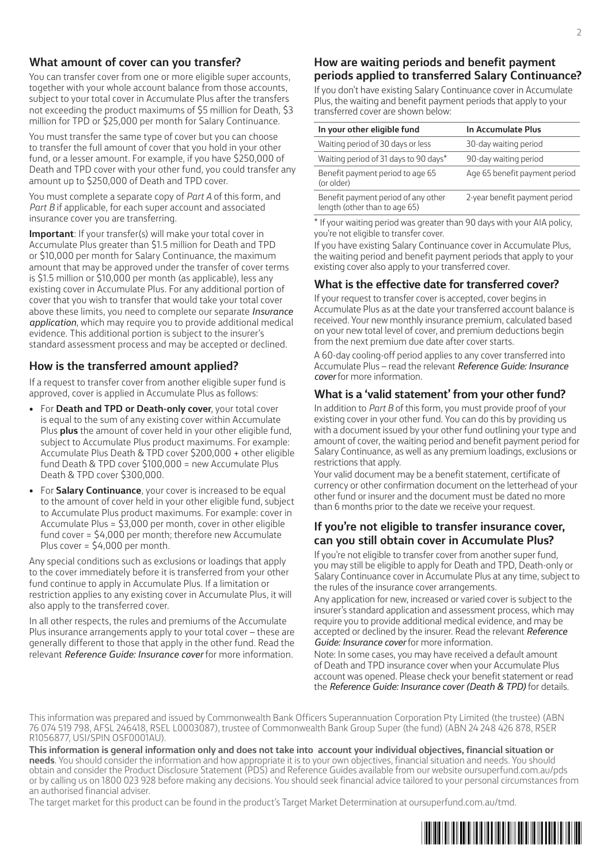#### **What amount of cover can you transfer?**

You can transfer cover from one or more eligible super accounts, together with your whole account balance from those accounts, subject to your total cover in Accumulate Plus after the transfers not exceeding the product maximums of \$5 million for Death, \$3 million for TPD or \$25,000 per month for Salary Continuance.

You must transfer the same type of cover but you can choose to transfer the full amount of cover that you hold in your other fund, or a lesser amount. For example, if you have \$250,000 of Death and TPD cover with your other fund, you could transfer any amount up to \$250,000 of Death and TPD cover.

You must complete a separate copy of *Part A* of this form, and *Part B* if applicable, for each super account and associated insurance cover you are transferring.

**Important**: If your transfer(s) will make your total cover in Accumulate Plus greater than \$1.5 million for Death and TPD or \$10,000 per month for Salary Continuance, the maximum amount that may be approved under the transfer of cover terms is \$1.5 million or \$10,000 per month (as applicable), less any existing cover in Accumulate Plus. For any additional portion of cover that you wish to transfer that would take your total cover above these limits, you need to complete our separate *Insurance application*, which may require you to provide additional medical evidence. This additional portion is subject to the insurer's standard assessment process and may be accepted or declined.

#### **How is the transferred amount applied?**

If a request to transfer cover from another eligible super fund is approved, cover is applied in Accumulate Plus as follows:

- For **Death and TPD or Death-only cover**, your total cover is equal to the sum of any existing cover within Accumulate Plus **plus** the amount of cover held in your other eligible fund, subject to Accumulate Plus product maximums. For example: Accumulate Plus Death & TPD cover \$200,000 + other eligible fund Death & TPD cover \$100,000 = new Accumulate Plus Death & TPD cover \$300,000.
- For **Salary Continuance**, your cover is increased to be equal to the amount of cover held in your other eligible fund, subject to Accumulate Plus product maximums. For example: cover in Accumulate Plus = \$3,000 per month, cover in other eligible fund cover = \$4,000 per month; therefore new Accumulate Plus cover = \$4,000 per month.

Any special conditions such as exclusions or loadings that apply to the cover immediately before it is transferred from your other fund continue to apply in Accumulate Plus. If a limitation or restriction applies to any existing cover in Accumulate Plus, it will also apply to the transferred cover.

In all other respects, the rules and premiums of the Accumulate Plus insurance arrangements apply to your total cover – these are generally different to those that apply in the other fund. Read the relevant *Reference Guide: Insurance cover* for more information.

#### **How are waiting periods and benefit payment periods applied to transferred Salary Continuance?**

If you don't have existing Salary Continuance cover in Accumulate Plus, the waiting and benefit payment periods that apply to your transferred cover are shown below:

| In your other eligible fund                                          | In Accumulate Plus            |
|----------------------------------------------------------------------|-------------------------------|
| Waiting period of 30 days or less                                    | 30-day waiting period         |
| Waiting period of 31 days to 90 days*                                | 90-day waiting period         |
| Benefit payment period to age 65<br>(or older)                       | Age 65 benefit payment period |
| Benefit payment period of any other<br>length (other than to age 65) | 2-year benefit payment period |

\* If your waiting period was greater than 90 days with your AIA policy, you're not eligible to transfer cover.

If you have existing Salary Continuance cover in Accumulate Plus, the waiting period and benefit payment periods that apply to your existing cover also apply to your transferred cover.

#### **What is the effective date for transferred cover?**

If your request to transfer cover is accepted, cover begins in Accumulate Plus as at the date your transferred account balance is received. Your new monthly insurance premium, calculated based on your new total level of cover, and premium deductions begin from the next premium due date after cover starts.

A 60-day cooling-off period applies to any cover transferred into Accumulate Plus – read the relevant *Reference Guide: Insurance cover* for more information.

#### **What is a 'valid statement' from your other fund?**

In addition to *Part B* of this form, you must provide proof of your existing cover in your other fund. You can do this by providing us with a document issued by your other fund outlining your type and amount of cover, the waiting period and benefit payment period for Salary Continuance, as well as any premium loadings, exclusions or restrictions that apply.

Your valid document may be a benefit statement, certificate of currency or other confirmation document on the letterhead of your other fund or insurer and the document must be dated no more than 6 months prior to the date we receive your request.

#### **If you're not eligible to transfer insurance cover, can you still obtain cover in Accumulate Plus?**

If you're not eligible to transfer cover from another super fund, you may still be eligible to apply for Death and TPD, Death-only or Salary Continuance cover in Accumulate Plus at any time, subject to the rules of the insurance cover arrangements.

Any application for new, increased or varied cover is subject to the insurer's standard application and assessment process, which may require you to provide additional medical evidence, and may be accepted or declined by the insurer. Read the relevant *Reference Guide: Insurance cover* for more information.

Note: In some cases, you may have received a default amount of Death and TPD insurance cover when your Accumulate Plus account was opened. Please check your benefit statement or read the *Reference Guide: Insurance cover (Death & TPD)* for details.

This information was prepared and issued by Commonwealth Bank Officers Superannuation Corporation Pty Limited (the trustee) (ABN 76 074 519 798, AFSL 246418, RSEL L0003087), trustee of Commonwealth Bank Group Super (the fund) (ABN 24 248 426 878, RSER R1056877, USI/SPIN OSF0001AU).

**This information is general information only and does not take into account your individual objectives, financial situation or needs**. You should consider the information and how appropriate it is to your own objectives, financial situation and needs. You should obtain and consider the Product Disclosure Statement (PDS) and Reference Guides available from our website oursuperfund.com.au/pds or by calling us on 1800 023 928 before making any decisions. You should seek financial advice tailored to your personal circumstances from an authorised financial adviser.

The target market for this product can be found in the product's Target Market Determination at oursuperfund.com.au/tmd.

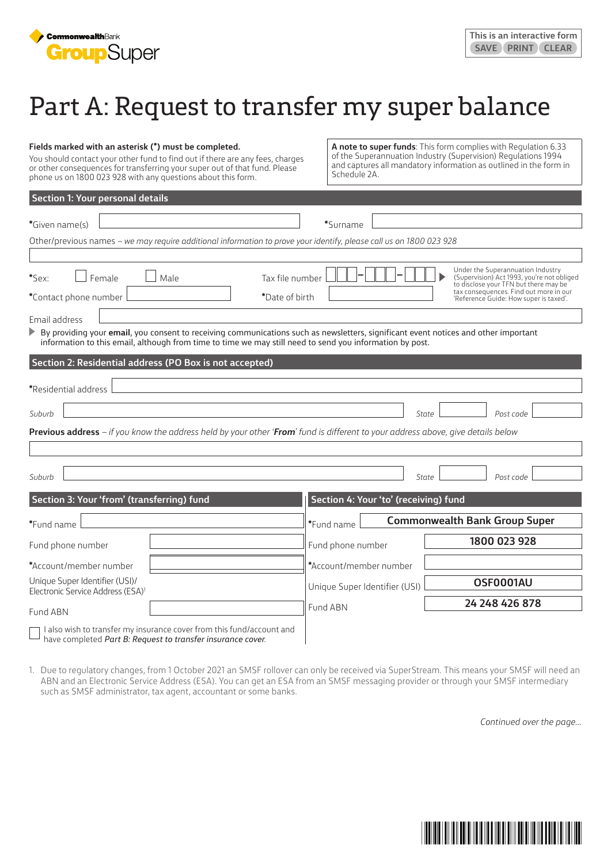

# Part A: Request to transfer my super balance

#### **Fields marked with an asterisk (\*) must be completed.**

You should contact your other fund to find out if there are any fees, charges or other consequences for transferring your super out of that fund. Please phone us on 1800 023 928 with any questions about this form.

**A note to super funds**: This form complies with Regulation 6.33 of the Superannuation Industry (Supervision) Regulations 1994 and captures all mandatory information as outlined in the form in Schedule 2A.

| <b>Section 1: Your personal details</b>                                                                                                                                                                                                         |                                       |                                                                                                                          |
|-------------------------------------------------------------------------------------------------------------------------------------------------------------------------------------------------------------------------------------------------|---------------------------------------|--------------------------------------------------------------------------------------------------------------------------|
| *Given name(s)                                                                                                                                                                                                                                  | *Surname                              |                                                                                                                          |
|                                                                                                                                                                                                                                                 |                                       |                                                                                                                          |
| Other/previous names - we may require additional information to prove your identify, please call us on 1800 023 928                                                                                                                             |                                       |                                                                                                                          |
|                                                                                                                                                                                                                                                 |                                       |                                                                                                                          |
| *Sex:<br>Female<br>Male<br>Tax file number                                                                                                                                                                                                      |                                       | Under the Superannuation Industry<br>(Supervision) Act 1993, you're not obliged<br>to disclose your TFN but there may be |
| *Date of birth<br>*Contact phone number                                                                                                                                                                                                         |                                       | tax consequences. Find out more in our<br>'Reference Guide: How super is taxed'.                                         |
| Email address                                                                                                                                                                                                                                   |                                       |                                                                                                                          |
| By providing your email, you consent to receiving communications such as newsletters, significant event notices and other important<br>information to this email, although from time to time we may still need to send you information by post. |                                       |                                                                                                                          |
| Section 2: Residential address (PO Box is not accepted)                                                                                                                                                                                         |                                       |                                                                                                                          |
|                                                                                                                                                                                                                                                 |                                       |                                                                                                                          |
| *Residential address                                                                                                                                                                                                                            |                                       |                                                                                                                          |
| Suburb                                                                                                                                                                                                                                          | State                                 | Post code                                                                                                                |
| Previous address - if you know the address held by your other 'From' fund is different to your address above, give details below                                                                                                                |                                       |                                                                                                                          |
|                                                                                                                                                                                                                                                 |                                       |                                                                                                                          |
| Suburb                                                                                                                                                                                                                                          | State                                 | Post code                                                                                                                |
|                                                                                                                                                                                                                                                 |                                       |                                                                                                                          |
| Section 3: Your 'from' (transferring) fund                                                                                                                                                                                                      | Section 4: Your 'to' (receiving) fund |                                                                                                                          |
| *Fund name                                                                                                                                                                                                                                      | *Fund name                            | <b>Commonwealth Bank Group Super</b>                                                                                     |
| Fund phone number                                                                                                                                                                                                                               | Fund phone number                     | 1800 023 928                                                                                                             |
| *Account/member number                                                                                                                                                                                                                          | *Account/member number                |                                                                                                                          |
| Unique Super Identifier (USI)/<br>Electronic Service Address (ESA) <sup>1</sup>                                                                                                                                                                 | Unique Super Identifier (USI)         | OSF0001AU                                                                                                                |
|                                                                                                                                                                                                                                                 | Fund ABN                              | 24 248 426 878                                                                                                           |
| Fund ABN                                                                                                                                                                                                                                        |                                       |                                                                                                                          |
| I also wish to transfer my insurance cover from this fund/account and<br>have completed Part B: Request to transfer insurance cover.                                                                                                            |                                       |                                                                                                                          |

have completed *Part B: Request to transfer insurance cover*.

1. Due to regulatory changes, from 1 October 2021 an SMSF rollover can only be received via SuperStream. This means your SMSF will need an ABN and an Electronic Service Address (ESA). You can get an ESA from an SMSF messaging provider or through your SMSF intermediary such as SMSF administrator, tax agent, accountant or some banks.

*Continued over the page…*

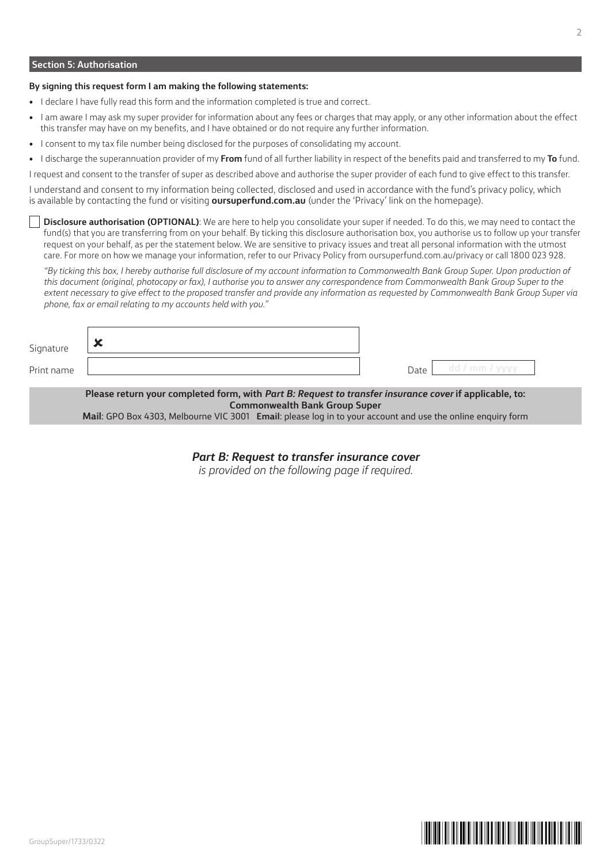#### **Section 5: Authorisation**

#### **By signing this request form I am making the following statements:**

- I declare I have fully read this form and the information completed is true and correct.
- I am aware I may ask my super provider for information about any fees or charges that may apply, or any other information about the effect this transfer may have on my benefits, and I have obtained or do not require any further information.
- I consent to my tax file number being disclosed for the purposes of consolidating my account.
- I discharge the superannuation provider of my **From** fund of all further liability in respect of the benefits paid and transferred to my **To** fund.

I request and consent to the transfer of super as described above and authorise the super provider of each fund to give effect to this transfer.

I understand and consent to my information being collected, disclosed and used in accordance with the fund's privacy policy, which is available by contacting the fund or visiting **oursuperfund.com.au** (under the 'Privacy' link on the homepage).

**Disclosure authorisation (OPTIONAL)**: We are here to help you consolidate your super if needed. To do this, we may need to contact the fund(s) that you are transferring from on your behalf. By ticking this disclosure authorisation box, you authorise us to follow up your transfer request on your behalf, as per the statement below. We are sensitive to privacy issues and treat all personal information with the utmost care. For more on how we manage your information, refer to our Privacy Policy from oursuperfund.com.au/privacy or call 1800 023 928.

*"By ticking this box, I hereby authorise full disclosure of my account information to Commonwealth Bank Group Super. Upon production of this document (original, photocopy or fax), I authorise you to answer any correspondence from Commonwealth Bank Group Super to the extent necessary to give effect to the proposed transfer and provide any information as requested by Commonwealth Bank Group Super via phone, fax or email relating to my accounts held with you."*

| Signature  | $\bullet$<br>∽ |      |                         |
|------------|----------------|------|-------------------------|
| Print name |                | Date | dd / mm $\prime$<br>yy) |

**Please return your completed form, with** *Part B: Request to transfer insurance cover* **if applicable, to: Commonwealth Bank Group Super Mail**: GPO Box 4303, Melbourne VIC 3001 **Email**: please log in to your account and use the online enquiry form

*Part B: Request to transfer insurance cover*

*is provided on the following page if required.*

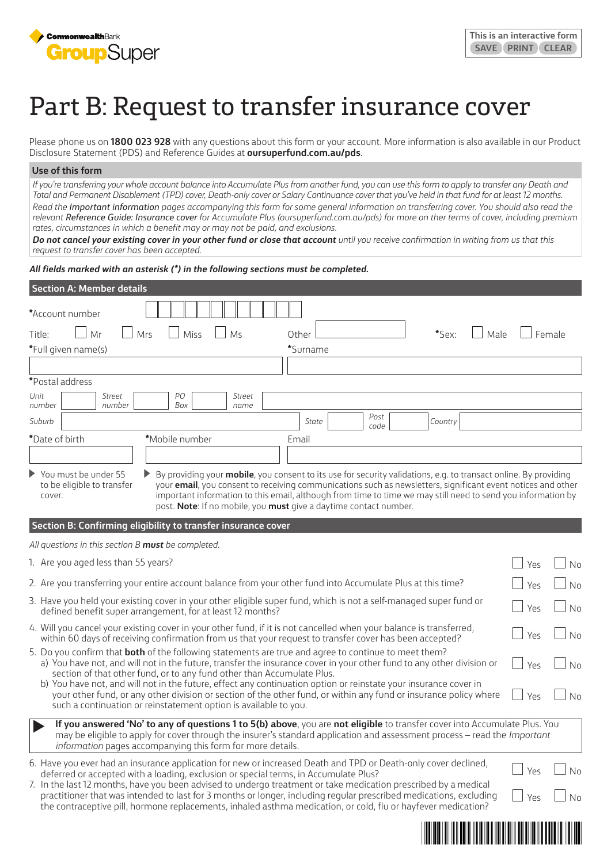

# Part B: Request to transfer insurance cover

Please phone us on **1800 023 928** with any questions about this form or your account. More information is also available in our Product Disclosure Statement (PDS) and Reference Guides at **oursuperfund.com.au/pds**.

#### **Use of this form**

*If you're transferring your whole account balance into Accumulate Plus from another fund, you can use this form to apply to transfer any Death and Total and Permanent Disablement (TPD) cover, Death-only cover or Salary Continuance cover that you've held in that fund for at least 12 months. Read the Important information pages accompanying this form for some general information on transferring cover. You should also read the relevant Reference Guide: Insurance cover for Accumulate Plus (oursuperfund.com.au/pds) for more on ther terms of cover, including premium rates, circumstances in which a benefit may or may not be paid, and exclusions.* 

*Do not cancel your existing cover in your other fund or close that account until you receive confirmation in writing from us that this request to transfer cover has been accepted.*

*All fields marked with an asterisk (\*) in the following sections must be completed.*

| *Account number<br>Mr<br>Mrs<br>Miss<br>Male<br>Female<br>Title:<br>Ms<br>*Sex:<br>Other<br>*Full given name(s)<br>*Surname<br>*Postal address<br>Unit<br><b>Street</b><br>PО<br><b>Street</b><br>number<br>number<br>Box<br>name<br>Post<br>Suburb<br>State<br>Country<br>code<br>*Date of birth<br>*Mobile number<br>Email<br>You must be under 55<br>By providing your mobile, you consent to its use for security validations, e.g. to transact online. By providing<br>to be eligible to transfer<br>your email, you consent to receiving communications such as newsletters, significant event notices and other<br>important information to this email, although from time to time we may still need to send you information by<br>cover.<br>post. Note: If no mobile, you must give a daytime contact number.<br>Section B: Confirming eligibility to transfer insurance cover<br>All questions in this section B must be completed.<br>1. Are you aged less than 55 years?<br>Yes<br>2. Are you transferring your entire account balance from your other fund into Accumulate Plus at this time?<br>Yes<br>3. Have you held your existing cover in your other eligible super fund, which is not a self-managed super fund or<br>Yes<br>defined benefit super arrangement, for at least 12 months?<br>4. Will you cancel your existing cover in your other fund, if it is not cancelled when your balance is transferred,<br>Yes<br>within 60 days of receiving confirmation from us that your request to transfer cover has been accepted?<br>5. Do you confirm that <b>both</b> of the following statements are true and agree to continue to meet them?<br>a) You have not, and will not in the future, transfer the insurance cover in your other fund to any other division or<br>Yes<br>section of that other fund, or to any fund other than Accumulate Plus.<br>b) You have not, and will not in the future, effect any continuation option or reinstate your insurance cover in | <b>Section A: Member details</b> |                 |
|--------------------------------------------------------------------------------------------------------------------------------------------------------------------------------------------------------------------------------------------------------------------------------------------------------------------------------------------------------------------------------------------------------------------------------------------------------------------------------------------------------------------------------------------------------------------------------------------------------------------------------------------------------------------------------------------------------------------------------------------------------------------------------------------------------------------------------------------------------------------------------------------------------------------------------------------------------------------------------------------------------------------------------------------------------------------------------------------------------------------------------------------------------------------------------------------------------------------------------------------------------------------------------------------------------------------------------------------------------------------------------------------------------------------------------------------------------------------------------------------------------------------------------------------------------------------------------------------------------------------------------------------------------------------------------------------------------------------------------------------------------------------------------------------------------------------------------------------------------------------------------------------------------------------------------------------------------------------------------------------------|----------------------------------|-----------------|
|                                                                                                                                                                                                                                                                                                                                                                                                                                                                                                                                                                                                                                                                                                                                                                                                                                                                                                                                                                                                                                                                                                                                                                                                                                                                                                                                                                                                                                                                                                                                                                                                                                                                                                                                                                                                                                                                                                                                                                                                  |                                  |                 |
|                                                                                                                                                                                                                                                                                                                                                                                                                                                                                                                                                                                                                                                                                                                                                                                                                                                                                                                                                                                                                                                                                                                                                                                                                                                                                                                                                                                                                                                                                                                                                                                                                                                                                                                                                                                                                                                                                                                                                                                                  |                                  |                 |
|                                                                                                                                                                                                                                                                                                                                                                                                                                                                                                                                                                                                                                                                                                                                                                                                                                                                                                                                                                                                                                                                                                                                                                                                                                                                                                                                                                                                                                                                                                                                                                                                                                                                                                                                                                                                                                                                                                                                                                                                  |                                  |                 |
|                                                                                                                                                                                                                                                                                                                                                                                                                                                                                                                                                                                                                                                                                                                                                                                                                                                                                                                                                                                                                                                                                                                                                                                                                                                                                                                                                                                                                                                                                                                                                                                                                                                                                                                                                                                                                                                                                                                                                                                                  |                                  |                 |
|                                                                                                                                                                                                                                                                                                                                                                                                                                                                                                                                                                                                                                                                                                                                                                                                                                                                                                                                                                                                                                                                                                                                                                                                                                                                                                                                                                                                                                                                                                                                                                                                                                                                                                                                                                                                                                                                                                                                                                                                  |                                  |                 |
|                                                                                                                                                                                                                                                                                                                                                                                                                                                                                                                                                                                                                                                                                                                                                                                                                                                                                                                                                                                                                                                                                                                                                                                                                                                                                                                                                                                                                                                                                                                                                                                                                                                                                                                                                                                                                                                                                                                                                                                                  |                                  |                 |
|                                                                                                                                                                                                                                                                                                                                                                                                                                                                                                                                                                                                                                                                                                                                                                                                                                                                                                                                                                                                                                                                                                                                                                                                                                                                                                                                                                                                                                                                                                                                                                                                                                                                                                                                                                                                                                                                                                                                                                                                  |                                  |                 |
|                                                                                                                                                                                                                                                                                                                                                                                                                                                                                                                                                                                                                                                                                                                                                                                                                                                                                                                                                                                                                                                                                                                                                                                                                                                                                                                                                                                                                                                                                                                                                                                                                                                                                                                                                                                                                                                                                                                                                                                                  |                                  |                 |
|                                                                                                                                                                                                                                                                                                                                                                                                                                                                                                                                                                                                                                                                                                                                                                                                                                                                                                                                                                                                                                                                                                                                                                                                                                                                                                                                                                                                                                                                                                                                                                                                                                                                                                                                                                                                                                                                                                                                                                                                  |                                  |                 |
|                                                                                                                                                                                                                                                                                                                                                                                                                                                                                                                                                                                                                                                                                                                                                                                                                                                                                                                                                                                                                                                                                                                                                                                                                                                                                                                                                                                                                                                                                                                                                                                                                                                                                                                                                                                                                                                                                                                                                                                                  |                                  |                 |
|                                                                                                                                                                                                                                                                                                                                                                                                                                                                                                                                                                                                                                                                                                                                                                                                                                                                                                                                                                                                                                                                                                                                                                                                                                                                                                                                                                                                                                                                                                                                                                                                                                                                                                                                                                                                                                                                                                                                                                                                  |                                  |                 |
|                                                                                                                                                                                                                                                                                                                                                                                                                                                                                                                                                                                                                                                                                                                                                                                                                                                                                                                                                                                                                                                                                                                                                                                                                                                                                                                                                                                                                                                                                                                                                                                                                                                                                                                                                                                                                                                                                                                                                                                                  |                                  |                 |
|                                                                                                                                                                                                                                                                                                                                                                                                                                                                                                                                                                                                                                                                                                                                                                                                                                                                                                                                                                                                                                                                                                                                                                                                                                                                                                                                                                                                                                                                                                                                                                                                                                                                                                                                                                                                                                                                                                                                                                                                  |                                  | No              |
|                                                                                                                                                                                                                                                                                                                                                                                                                                                                                                                                                                                                                                                                                                                                                                                                                                                                                                                                                                                                                                                                                                                                                                                                                                                                                                                                                                                                                                                                                                                                                                                                                                                                                                                                                                                                                                                                                                                                                                                                  |                                  | No              |
|                                                                                                                                                                                                                                                                                                                                                                                                                                                                                                                                                                                                                                                                                                                                                                                                                                                                                                                                                                                                                                                                                                                                                                                                                                                                                                                                                                                                                                                                                                                                                                                                                                                                                                                                                                                                                                                                                                                                                                                                  |                                  | No              |
|                                                                                                                                                                                                                                                                                                                                                                                                                                                                                                                                                                                                                                                                                                                                                                                                                                                                                                                                                                                                                                                                                                                                                                                                                                                                                                                                                                                                                                                                                                                                                                                                                                                                                                                                                                                                                                                                                                                                                                                                  |                                  | <b>No</b>       |
|                                                                                                                                                                                                                                                                                                                                                                                                                                                                                                                                                                                                                                                                                                                                                                                                                                                                                                                                                                                                                                                                                                                                                                                                                                                                                                                                                                                                                                                                                                                                                                                                                                                                                                                                                                                                                                                                                                                                                                                                  |                                  | No              |
| your other fund, or any other division or section of the other fund, or within any fund or insurance policy where<br>such a continuation or reinstatement option is available to you.                                                                                                                                                                                                                                                                                                                                                                                                                                                                                                                                                                                                                                                                                                                                                                                                                                                                                                                                                                                                                                                                                                                                                                                                                                                                                                                                                                                                                                                                                                                                                                                                                                                                                                                                                                                                            |                                  | Yes<br>No       |
| If you answered 'No' to any of questions 1 to 5(b) above, you are not eligible to transfer cover into Accumulate Plus. You<br>may be eligible to apply for cover through the insurer's standard application and assessment process - read the Important<br>information pages accompanying this form for more details.                                                                                                                                                                                                                                                                                                                                                                                                                                                                                                                                                                                                                                                                                                                                                                                                                                                                                                                                                                                                                                                                                                                                                                                                                                                                                                                                                                                                                                                                                                                                                                                                                                                                            |                                  |                 |
| 6. Have you ever had an insurance application for new or increased Death and TPD or Death-only cover declined,<br>Yes<br>deferred or accepted with a loading, exclusion or special terms, in Accumulate Plus?<br>7. In the last 12 months, have you been advised to undergo treatment or take medication prescribed by a medical<br>practitioner that was intended to last for 3 months or longer, including regular prescribed medications, excluding<br>Yes<br>the contraceptive pill, hormone replacements, inhaled asthma medication, or cold, flu or hayfever medication?                                                                                                                                                                                                                                                                                                                                                                                                                                                                                                                                                                                                                                                                                                                                                                                                                                                                                                                                                                                                                                                                                                                                                                                                                                                                                                                                                                                                                   |                                  | No<br><b>No</b> |

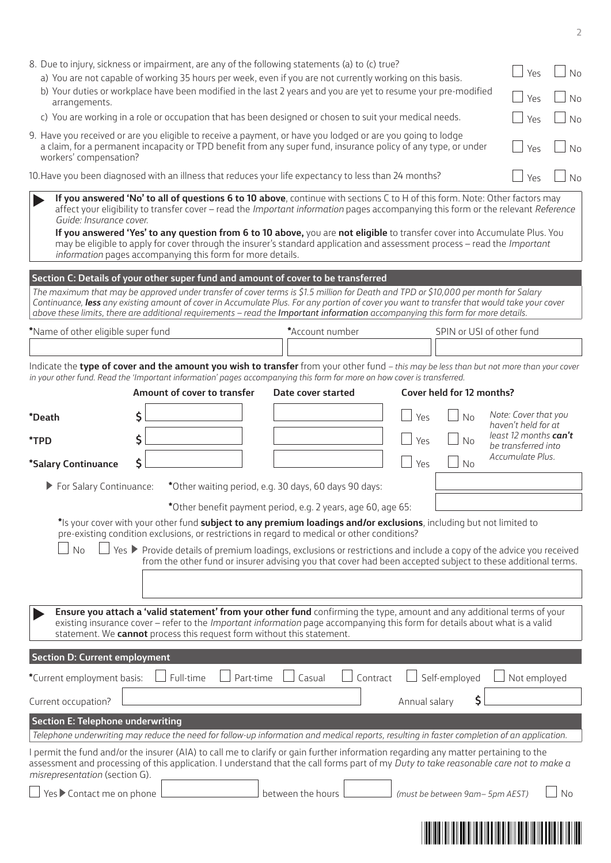| 8. Due to injury, sickness or impairment, are any of the following statements (a) to (c) true?<br>a) You are not capable of working 35 hours per week, even if you are not currently working on this basis.<br>b) Your duties or workplace have been modified in the last 2 years and you are yet to resume your pre-modified<br>arrangements.<br>c) You are working in a role or occupation that has been designed or chosen to suit your medical needs. |                                                                                                                                                                                                                                                                                                                                                                                                                                                      |                   |                                                       |                                 | <b>No</b><br>Yes<br><b>No</b><br>Yes<br>Yes<br>No                                                                                        |
|-----------------------------------------------------------------------------------------------------------------------------------------------------------------------------------------------------------------------------------------------------------------------------------------------------------------------------------------------------------------------------------------------------------------------------------------------------------|------------------------------------------------------------------------------------------------------------------------------------------------------------------------------------------------------------------------------------------------------------------------------------------------------------------------------------------------------------------------------------------------------------------------------------------------------|-------------------|-------------------------------------------------------|---------------------------------|------------------------------------------------------------------------------------------------------------------------------------------|
| 9. Have you received or are you eligible to receive a payment, or have you lodged or are you going to lodge                                                                                                                                                                                                                                                                                                                                               |                                                                                                                                                                                                                                                                                                                                                                                                                                                      |                   |                                                       |                                 |                                                                                                                                          |
| workers' compensation?                                                                                                                                                                                                                                                                                                                                                                                                                                    | a claim, for a permanent incapacity or TPD benefit from any super fund, insurance policy of any type, or under                                                                                                                                                                                                                                                                                                                                       |                   |                                                       |                                 | Yes<br>No.                                                                                                                               |
| 10. Have you been diagnosed with an illness that reduces your life expectancy to less than 24 months?                                                                                                                                                                                                                                                                                                                                                     |                                                                                                                                                                                                                                                                                                                                                                                                                                                      |                   |                                                       |                                 | Yes<br>No                                                                                                                                |
| Guide: Insurance cover.                                                                                                                                                                                                                                                                                                                                                                                                                                   | If you answered 'No' to all of questions 6 to 10 above, continue with sections C to H of this form. Note: Other factors may<br>If you answered 'Yes' to any question from 6 to 10 above, you are not eligible to transfer cover into Accumulate Plus. You<br>may be eligible to apply for cover through the insurer's standard application and assessment process - read the Important<br>information pages accompanying this form for more details. |                   |                                                       |                                 | affect your eligibility to transfer cover - read the Important information pages accompanying this form or the relevant Reference        |
| Section C: Details of your other super fund and amount of cover to be transferred                                                                                                                                                                                                                                                                                                                                                                         |                                                                                                                                                                                                                                                                                                                                                                                                                                                      |                   |                                                       |                                 |                                                                                                                                          |
| above these limits, there are additional requirements - read the Important information accompanying this form for more details.                                                                                                                                                                                                                                                                                                                           | The maximum that may be approved under transfer of cover terms is \$1.5 million for Death and TPD or \$10,000 per month for Salary<br>Continuance, less any existing amount of cover in Accumulate Plus. For any portion of cover you want to transfer that would take your cover                                                                                                                                                                    |                   |                                                       |                                 |                                                                                                                                          |
| *Name of other eligible super fund                                                                                                                                                                                                                                                                                                                                                                                                                        |                                                                                                                                                                                                                                                                                                                                                                                                                                                      |                   | *Account number                                       |                                 | SPIN or USI of other fund                                                                                                                |
|                                                                                                                                                                                                                                                                                                                                                                                                                                                           |                                                                                                                                                                                                                                                                                                                                                                                                                                                      |                   |                                                       |                                 | Indicate the type of cover and the amount you wish to transfer from your other fund - this may be less than but not more than your cover |
| in your other fund. Read the 'Important information' pages accompanying this form for more on how cover is transferred.                                                                                                                                                                                                                                                                                                                                   |                                                                                                                                                                                                                                                                                                                                                                                                                                                      |                   |                                                       |                                 |                                                                                                                                          |
|                                                                                                                                                                                                                                                                                                                                                                                                                                                           | Amount of cover to transfer                                                                                                                                                                                                                                                                                                                                                                                                                          |                   | Date cover started                                    | Cover held for 12 months?       |                                                                                                                                          |
| <i>*Death</i>                                                                                                                                                                                                                                                                                                                                                                                                                                             | Ś                                                                                                                                                                                                                                                                                                                                                                                                                                                    |                   |                                                       | No<br>Yes                       | Note: Cover that you<br>haven't held for at                                                                                              |
| *TPD                                                                                                                                                                                                                                                                                                                                                                                                                                                      |                                                                                                                                                                                                                                                                                                                                                                                                                                                      |                   |                                                       | No<br>Yes                       | least 12 months can't                                                                                                                    |
| *Salary Continuance                                                                                                                                                                                                                                                                                                                                                                                                                                       | Ś                                                                                                                                                                                                                                                                                                                                                                                                                                                    |                   |                                                       | Yes<br><b>No</b>                | be transferred into<br>Accumulate Plus.                                                                                                  |
|                                                                                                                                                                                                                                                                                                                                                                                                                                                           |                                                                                                                                                                                                                                                                                                                                                                                                                                                      |                   |                                                       |                                 |                                                                                                                                          |
| For Salary Continuance:                                                                                                                                                                                                                                                                                                                                                                                                                                   |                                                                                                                                                                                                                                                                                                                                                                                                                                                      |                   | *Other waiting period, e.g. 30 days, 60 days 90 days: |                                 |                                                                                                                                          |
| *Other benefit payment period, e.g. 2 years, age 60, age 65:<br>*Is your cover with your other fund subject to any premium loadings and/or exclusions, including but not limited to<br>pre-existing condition exclusions, or restrictions in regard to medical or other conditions?<br>No<br>Yes ▶ Provide details of premium loadings, exclusions or restrictions and include a copy of the advice you received                                          |                                                                                                                                                                                                                                                                                                                                                                                                                                                      |                   |                                                       |                                 |                                                                                                                                          |
| from the other fund or insurer advising you that cover had been accepted subject to these additional terms.                                                                                                                                                                                                                                                                                                                                               |                                                                                                                                                                                                                                                                                                                                                                                                                                                      |                   |                                                       |                                 |                                                                                                                                          |
|                                                                                                                                                                                                                                                                                                                                                                                                                                                           |                                                                                                                                                                                                                                                                                                                                                                                                                                                      |                   |                                                       |                                 |                                                                                                                                          |
| Ensure you attach a 'valid statement' from your other fund confirming the type, amount and any additional terms of your<br>existing insurance cover - refer to the <i>Important information</i> page accompanying this form for details about what is a valid<br>statement. We cannot process this request form without this statement.                                                                                                                   |                                                                                                                                                                                                                                                                                                                                                                                                                                                      |                   |                                                       |                                 |                                                                                                                                          |
| <b>Section D: Current employment</b>                                                                                                                                                                                                                                                                                                                                                                                                                      |                                                                                                                                                                                                                                                                                                                                                                                                                                                      |                   |                                                       |                                 |                                                                                                                                          |
| *Current employment basis:                                                                                                                                                                                                                                                                                                                                                                                                                                | Full-time                                                                                                                                                                                                                                                                                                                                                                                                                                            | Part-time         | Casual<br>Contract                                    | Self-employed                   | Not employed                                                                                                                             |
| Current occupation?                                                                                                                                                                                                                                                                                                                                                                                                                                       |                                                                                                                                                                                                                                                                                                                                                                                                                                                      |                   |                                                       | Annual salary                   | \$                                                                                                                                       |
| <b>Section E: Telephone underwriting</b>                                                                                                                                                                                                                                                                                                                                                                                                                  |                                                                                                                                                                                                                                                                                                                                                                                                                                                      |                   |                                                       |                                 |                                                                                                                                          |
| Telephone underwriting may reduce the need for follow-up information and medical reports, resulting in faster completion of an application.<br>I permit the fund and/or the insurer (AIA) to call me to clarify or gain further information regarding any matter pertaining to the<br>assessment and processing of this application. I understand that the call forms part of my Duty to take reasonable care not to make a                               |                                                                                                                                                                                                                                                                                                                                                                                                                                                      |                   |                                                       |                                 |                                                                                                                                          |
| misrepresentation (section G).                                                                                                                                                                                                                                                                                                                                                                                                                            |                                                                                                                                                                                                                                                                                                                                                                                                                                                      |                   |                                                       |                                 |                                                                                                                                          |
| Yes Contact me on phone                                                                                                                                                                                                                                                                                                                                                                                                                                   |                                                                                                                                                                                                                                                                                                                                                                                                                                                      | between the hours |                                                       | (must be between 9am- 5pm AEST) | No                                                                                                                                       |
|                                                                                                                                                                                                                                                                                                                                                                                                                                                           |                                                                                                                                                                                                                                                                                                                                                                                                                                                      |                   |                                                       |                                 | <u> HERIO HERIO HERIO HERIO HERIO HERIO HERIO HERIO HERIO HERIO HERIO HERIO HERIO HERIO HERIO HERIO HERIO HERIO H</u>                    |

**2**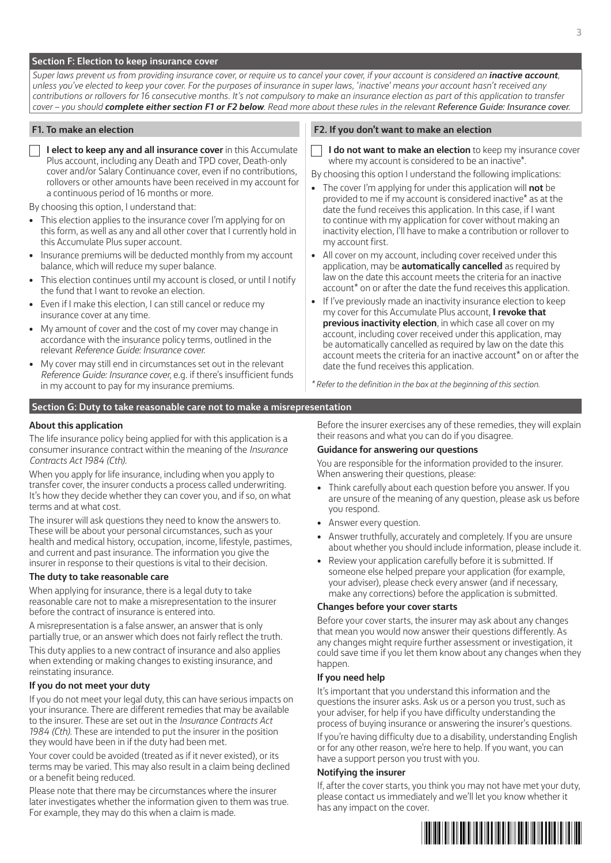#### **Section F: Election to keep insurance cover**

*Super laws prevent us from providing insurance cover, or require us to cancel your cover, if your account is considered an <i>inactive account*, *unless you've elected to keep your cover. For the purposes of insurance in super laws, 'inactive' means your account hasn't received any contributions or rollovers for 16 consecutive months. It's not compulsory to make an insurance election as part of this application to transfer cover – you should complete either section F1 or F2 below. Read more about these rules in the relevant Reference Guide: Insurance cover.*

**I elect to keep any and all insurance cover** in this Accumulate Plus account, including any Death and TPD cover, Death-only cover and/or Salary Continuance cover, even if no contributions, rollovers or other amounts have been received in my account for a continuous period of 16 months or more.

By choosing this option, I understand that:

- This election applies to the insurance cover I'm applying for on this form, as well as any and all other cover that I currently hold in this Accumulate Plus super account.
- Insurance premiums will be deducted monthly from my account balance, which will reduce my super balance.
- This election continues until my account is closed, or until I notify the fund that I want to revoke an election.
- Even if I make this election, I can still cancel or reduce my insurance cover at any time.
- My amount of cover and the cost of my cover may change in accordance with the insurance policy terms, outlined in the relevant *Reference Guide: Insurance cover*.
- My cover may still end in circumstances set out in the relevant *Reference Guide: Insurance cover*, e.g. if there's insufficient funds in my account to pay for my insurance premiums.

#### **F1. To make an election F2. If you don't want to make an election**

**I do not want to make an election** to keep my insurance cover where my account is considered to be an inactive\*.

By choosing this option I understand the following implications:

- The cover I'm applying for under this application will **not** be provided to me if my account is considered inactive\* as at the date the fund receives this application. In this case, if I want to continue with my application for cover without making an inactivity election, I'll have to make a contribution or rollover to my account first.
- All cover on my account, including cover received under this application, may be **automatically cancelled** as required by law on the date this account meets the criteria for an inactive account\* on or after the date the fund receives this application.
- If I've previously made an inactivity insurance election to keep my cover for this Accumulate Plus account, **I revoke that previous inactivity election**, in which case all cover on my account, including cover received under this application, may be automatically cancelled as required by law on the date this account meets the criteria for an inactive account\* on or after the date the fund receives this application.

*\* Refer to the definition in the box at the beginning of this section.* 

#### **Section G: Duty to take reasonable care not to make a misrepresentation**

#### **About this application**

The life insurance policy being applied for with this application is a consumer insurance contract within the meaning of the *Insurance Contracts Act 1984 (Cth)*.

When you apply for life insurance, including when you apply to transfer cover, the insurer conducts a process called underwriting. It's how they decide whether they can cover you, and if so, on what terms and at what cost.

The insurer will ask questions they need to know the answers to. These will be about your personal circumstances, such as your health and medical history, occupation, income, lifestyle, pastimes, and current and past insurance. The information you give the insurer in response to their questions is vital to their decision.

#### **The duty to take reasonable care**

When applying for insurance, there is a legal duty to take reasonable care not to make a misrepresentation to the insurer before the contract of insurance is entered into.

A misrepresentation is a false answer, an answer that is only partially true, or an answer which does not fairly reflect the truth.

This duty applies to a new contract of insurance and also applies when extending or making changes to existing insurance, and reinstating insurance.

#### **If you do not meet your duty**

If you do not meet your legal duty, this can have serious impacts on your insurance. There are different remedies that may be available to the insurer. These are set out in the *Insurance Contracts Act 1984 (Cth)*. These are intended to put the insurer in the position they would have been in if the duty had been met.

Your cover could be avoided (treated as if it never existed), or its terms may be varied. This may also result in a claim being declined or a benefit being reduced.

Please note that there may be circumstances where the insurer later investigates whether the information given to them was true. For example, they may do this when a claim is made.

Before the insurer exercises any of these remedies, they will explain their reasons and what you can do if you disagree.

#### **Guidance for answering our questions**

You are responsible for the information provided to the insurer. When answering their questions, please:

- Think carefully about each question before you answer. If you are unsure of the meaning of any question, please ask us before you respond.
- Answer every question.
- Answer truthfully, accurately and completely. If you are unsure about whether you should include information, please include it.
- Review your application carefully before it is submitted. If someone else helped prepare your application (for example, your adviser), please check every answer (and if necessary, make any corrections) before the application is submitted.

#### **Changes before your cover starts**

Before your cover starts, the insurer may ask about any changes that mean you would now answer their questions differently. As any changes might require further assessment or investigation, it could save time if you let them know about any changes when they happen.

#### **If you need help**

It's important that you understand this information and the questions the insurer asks. Ask us or a person you trust, such as your adviser, for help if you have difficulty understanding the process of buying insurance or answering the insurer's questions.

If you're having difficulty due to a disability, understanding English or for any other reason, we're here to help. If you want, you can have a support person you trust with you.

#### **Notifying the insurer**

If, after the cover starts, you think you may not have met your duty, please contact us immediately and we'll let you know whether it has any impact on the cover.